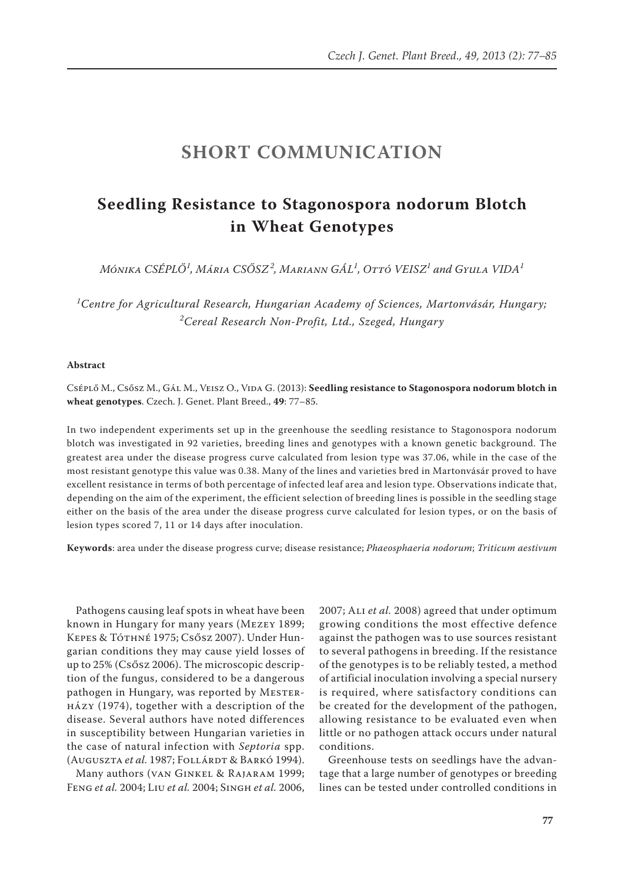## **SHORT COMMUNICATION**

## **Seedling Resistance to Stagonospora nodorum Blotch in Wheat Genotypes**

*Mónika CSÉPLŐ<sup>1</sup> , Mária CSŐSZ<sup>2</sup> , Mariann GÁL<sup>1</sup> , Ottó VEISZ<sup>1</sup> and Gyula VIDA<sup>1</sup>*

<sup>1</sup>Centre for Agricultural Research, Hungarian Academy of Sciences, Martonvásár, Hungary; *2 Cereal Research Non-Profit, Ltd., Szeged, Hungary*

## **Abstract**

Cséplő M., Csősz M., Gál M., Veisz O., Vida G. (2013): **Seedling resistance to Stagonospora nodorum blotch in wheat genotypes**. Czech. J. Genet. Plant Breed., **49**: 77–85.

In two independent experiments set up in the greenhouse the seedling resistance to Stagonospora nodorum blotch was investigated in 92 varieties, breeding lines and genotypes with a known genetic background. The greatest area under the disease progress curve calculated from lesion type was 37.06, while in the case of the most resistant genotype this value was 0.38. Many of the lines and varieties bred in Martonvásár proved to have excellent resistance in terms of both percentage of infected leaf area and lesion type. Observations indicate that, depending on the aim of the experiment, the efficient selection of breeding lines is possible in the seedling stage either on the basis of the area under the disease progress curve calculated for lesion types, or on the basis of lesion types scored 7, 11 or 14 days after inoculation.

**Keywords**: area under the disease progress curve; disease resistance; *Phaeosphaeria nodorum*; *Triticum aestivum*

Pathogens causing leaf spots in wheat have been known in Hungary for many years (Mezey 1899; Kepes & Tóthné 1975; Csősz 2007). Under Hungarian conditions they may cause yield losses of up to 25% (Csősz 2006). The microscopic description of the fungus, considered to be a dangerous pathogen in Hungary, was reported by MESTERházy (1974), together with a description of the disease. Several authors have noted differences in susceptibility between Hungarian varieties in the case of natural infection with *Septoria* spp. (Auguszta et al. 1987; Follárdt & Barkó 1994).

Many authors (van Ginkel & Rajaram 1999; Feng *et al.* 2004; Liu *et al.* 2004; Singh *et al.* 2006,

2007; Ali *et al.* 2008) agreed that under optimum growing conditions the most effective defence against the pathogen was to use sources resistant to several pathogens in breeding. If the resistance of the genotypes is to be reliably tested, a method of artificial inoculation involving a special nursery is required, where satisfactory conditions can be created for the development of the pathogen, allowing resistance to be evaluated even when little or no pathogen attack occurs under natural conditions.

Greenhouse tests on seedlings have the advantage that a large number of genotypes or breeding lines can be tested under controlled conditions in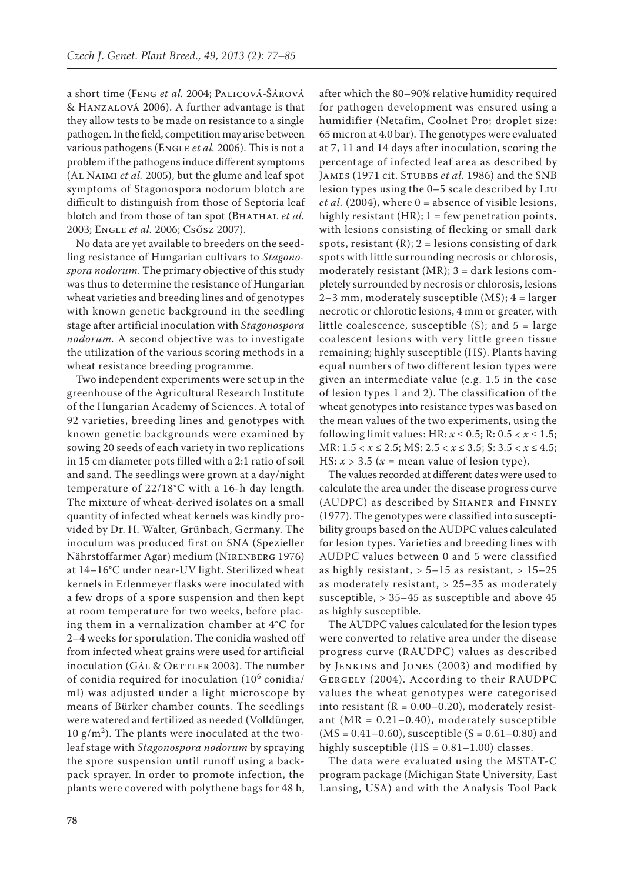a short time (Feng *et al.* 2004; Palicová-Šárová & Hanzalová 2006). A further advantage is that they allow tests to be made on resistance to a single pathogen. In the field, competition may arise between various pathogens (ENGLE et al. 2006). This is not a problem if the pathogens induce different symptoms (Al Naimi *et al.* 2005), but the glume and leaf spot symptoms of Stagonospora nodorum blotch are difficult to distinguish from those of Septoria leaf blotch and from those of tan spot (BHATHAL *et al.* 2003; Engle *et al.* 2006; Csősz 2007).

No data are yet available to breeders on the seedling resistance of Hungarian cultivars to *Stagonospora nodorum*. The primary objective of this study was thus to determine the resistance of Hungarian wheat varieties and breeding lines and of genotypes with known genetic background in the seedling stage after artificial inoculation with *Stagonospora nodorum.* A second objective was to investigate the utilization of the various scoring methods in a wheat resistance breeding programme.

Two independent experiments were set up in the greenhouse of the Agricultural Research Institute of the Hungarian Academy of Sciences. A total of 92 varieties, breeding lines and genotypes with known genetic backgrounds were examined by sowing 20 seeds of each variety in two replications in 15 cm diameter pots filled with a 2:1 ratio of soil and sand. The seedlings were grown at a day/night temperature of 22/18°C with a 16-h day length. The mixture of wheat-derived isolates on a small quantity of infected wheat kernels was kindly provided by Dr. H. Walter, Grünbach, Germany. The inoculum was produced first on SNA (Spezieller Nährstoffarmer Agar) medium (Nirenberg 1976) at 14–16°C under near-UV light. Sterilized wheat kernels in Erlenmeyer flasks were inoculated with a few drops of a spore suspension and then kept at room temperature for two weeks, before placing them in a vernalization chamber at 4°C for 2–4 weeks for sporulation. The conidia washed off from infected wheat grains were used for artificial inoculation (GÁL & OETTLER 2003). The number of conidia required for inoculation (10<sup>6</sup> conidia/ ml) was adjusted under a light microscope by means of Bürker chamber counts. The seedlings were watered and fertilized as needed (Volldünger,  $10 \text{ g/m}^2$ ). The plants were inoculated at the twoleaf stage with *Stagonospora nodorum* by spraying the spore suspension until runoff using a backpack sprayer. In order to promote infection, the plants were covered with polythene bags for 48 h,

after which the 80–90% relative humidity required for pathogen development was ensured using a humidifier (Netafim, Coolnet Pro; droplet size: 65 micron at 4.0 bar). The genotypes were evaluated at 7, 11 and 14 days after inoculation, scoring the percentage of infected leaf area as described by JAMES (1971 cit. STUBBS *et al.* 1986) and the SNB lesion types using the 0–5 scale described by Liu *et al.* (2004), where 0 = absence of visible lesions, highly resistant  $(HR)$ ;  $1 = few$  penetration points, with lesions consisting of flecking or small dark spots, resistant  $(R)$ ; 2 = lesions consisting of dark spots with little surrounding necrosis or chlorosis, moderately resistant (MR);  $3 =$  dark lesions completely surrounded by necrosis or chlorosis, lesions 2–3 mm, moderately susceptible (MS); 4 = larger necrotic or chlorotic lesions, 4 mm or greater, with little coalescence, susceptible  $(S)$ ; and  $5 = \text{large}$ coalescent lesions with very little green tissue remaining; highly susceptible (HS). Plants having equal numbers of two different lesion types were given an intermediate value (e.g. 1.5 in the case of lesion types 1 and 2). The classification of the wheat genotypes into resistance types was based on the mean values of the two experiments, using the following limit values: HR:  $x \le 0.5$ ; R:  $0.5 < x \le 1.5$ ; MR: 1.5 < *x* ≤ 2.5; MS: 2.5 < *x* ≤ 3.5; S: 3.5 < *x* ≤ 4.5; HS:  $x > 3.5$  ( $x =$  mean value of lesion type).

The values recorded at different dates were used to calculate the area under the disease progress curve (AUDPC) as described by Shaner and Finney (1977). The genotypes were classified into susceptibility groups based on the AUDPC values calculated for lesion types. Varieties and breeding lines with AUDPC values between 0 and 5 were classified as highly resistant,  $> 5-15$  as resistant,  $> 15-25$ as moderately resistant, > 25–35 as moderately susceptible, > 35–45 as susceptible and above 45 as highly susceptible.

The AUDPC values calculated for the lesion types were converted to relative area under the disease progress curve (RAUDPC) values as described by Jenkins and Jones (2003) and modified by Gergely (2004). According to their RAUDPC values the wheat genotypes were categorised into resistant ( $R = 0.00-0.20$ ), moderately resistant ( $MR = 0.21 - 0.40$ ), moderately susceptible  $(MS = 0.41 - 0.60)$ , susceptible  $(S = 0.61 - 0.80)$  and highly susceptible  $(HS = 0.81 - 1.00)$  classes.

The data were evaluated using the MSTAT-C program package (Michigan State University, East Lansing, USA) and with the Analysis Tool Pack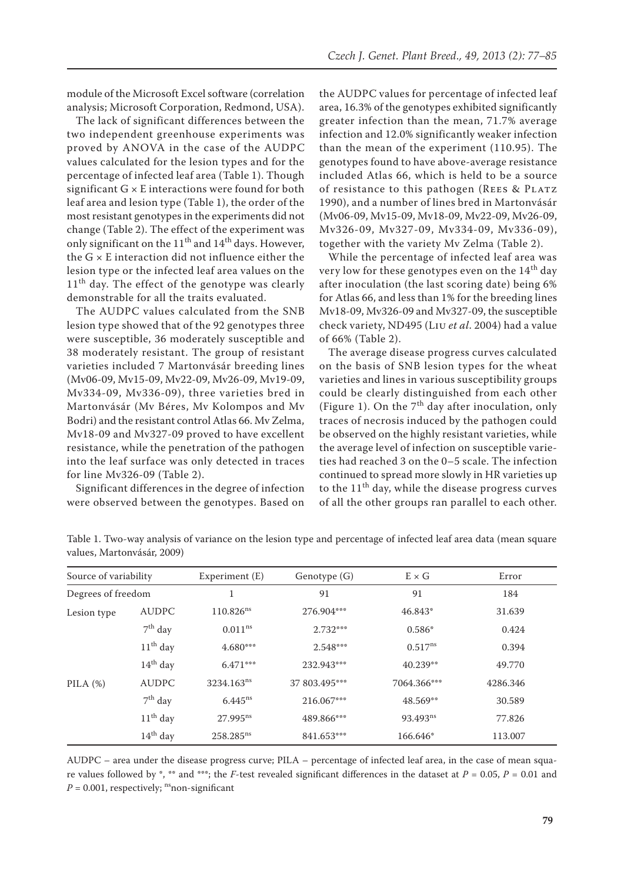module of the Microsoft Excel software (correlation analysis; Microsoft Corporation, Redmond, USA).

The lack of significant differences between the two independent greenhouse experiments was proved by ANOVA in the case of the AUDPC values calculated for the lesion types and for the percentage of infected leaf area (Table 1). Though significant  $G \times E$  interactions were found for both leaf area and lesion type (Table 1), the order of the most resistant genotypes in the experiments did not change (Table 2). The effect of the experiment was only significant on the  $11<sup>th</sup>$  and  $14<sup>th</sup>$  days. However, the G × E interaction did not influence either the lesion type or the infected leaf area values on the  $11<sup>th</sup>$  day. The effect of the genotype was clearly demonstrable for all the traits evaluated.

The AUDPC values calculated from the SNB lesion type showed that of the 92 genotypes three were susceptible, 36 moderately susceptible and 38 moderately resistant. The group of resistant varieties included 7 Martonvásár breeding lines (Mv06-09, Mv15-09, Mv22-09, Mv26-09, Mv19-09, Mv334-09, Mv336-09), three varieties bred in Martonvásár (Mv Béres, Mv Kolompos and Mv Bodri) and the resistant control Atlas 66. Mv Zelma, Mv18-09 and Mv327-09 proved to have excellent resistance, while the penetration of the pathogen into the leaf surface was only detected in traces for line Mv326-09 (Table 2).

Significant differences in the degree of infection were observed between the genotypes. Based on the AUDPC values for percentage of infected leaf area, 16.3% of the genotypes exhibited significantly greater infection than the mean, 71.7% average infection and 12.0% significantly weaker infection than the mean of the experiment (110.95). The genotypes found to have above-average resistance included Atlas 66, which is held to be a source of resistance to this pathogen (REES & PLATZ 1990), and a number of lines bred in Martonvásár (Mv06-09, Mv15-09, Mv18-09, Mv22-09, Mv26-09, Mv326-09, Mv327-09, Mv334-09, Mv336-09), together with the variety Mv Zelma (Table 2).

While the percentage of infected leaf area was very low for these genotypes even on the  $14<sup>th</sup>$  day after inoculation (the last scoring date) being 6% for Atlas 66, and less than 1% for the breeding lines Mv18-09, Mv326-09 and Mv327-09, the susceptible check variety, ND495 (Liu *et al*. 2004) had a value of 66% (Table 2).

The average disease progress curves calculated on the basis of SNB lesion types for the wheat varieties and lines in various susceptibility groups could be clearly distinguished from each other (Figure 1). On the  $7<sup>th</sup>$  day after inoculation, only traces of necrosis induced by the pathogen could be observed on the highly resistant varieties, while the average level of infection on susceptible varieties had reached 3 on the 0–5 scale. The infection continued to spread more slowly in HR varieties up to the  $11<sup>th</sup>$  day, while the disease progress curves of all the other groups ran parallel to each other.

| Source of variability |              | Experiment (E)          | Genotype (G)  | $E \times G$         | Error    |
|-----------------------|--------------|-------------------------|---------------|----------------------|----------|
| Degrees of freedom    |              |                         | 91            | 91                   | 184      |
| Lesion type           | <b>AUDPC</b> | $110.826$ <sup>ns</sup> | 276.904***    | 46.843*              | 31.639   |
|                       | $7th$ day    | 0.011 <sup>ns</sup>     | $2.732***$    | $0.586*$             | 0.424    |
|                       | $11th$ day   | $4.680***$              | $2.548***$    | $0.517^{ns}$         | 0.394    |
|                       | $14th$ day   | $6.471***$              | 232.943***    | $40.239**$           | 49.770   |
| PILA $(\%)$           | <b>AUDPC</b> | 3234.163 <sup>ns</sup>  | 37 803.495*** | 7064.366***          | 4286.346 |
|                       | $7th$ day    | $6.445^{ns}$            | 216.067***    | 48.569**             | 30.589   |
|                       | $11th$ day   | $27.995^{ns}$           | 489.866***    | 93.493 <sup>ns</sup> | 77.826   |
|                       | $14th$ day   | 258.285 <sup>ns</sup>   | 841.653***    | 166.646*             | 113.007  |

Table 1. Two-way analysis of variance on the lesion type and percentage of infected leaf area data (mean square values, Martonvásár, 2009)

AUDPC – area under the disease progress curve; PILA – percentage of infected leaf area, in the case of mean square values followed by \*, \*\* and \*\*\*; the *F*-test revealed significant differences in the dataset at  $P = 0.05$ ,  $P = 0.01$  and  $P = 0.001$ , respectively; <sup>ns</sup>non-significant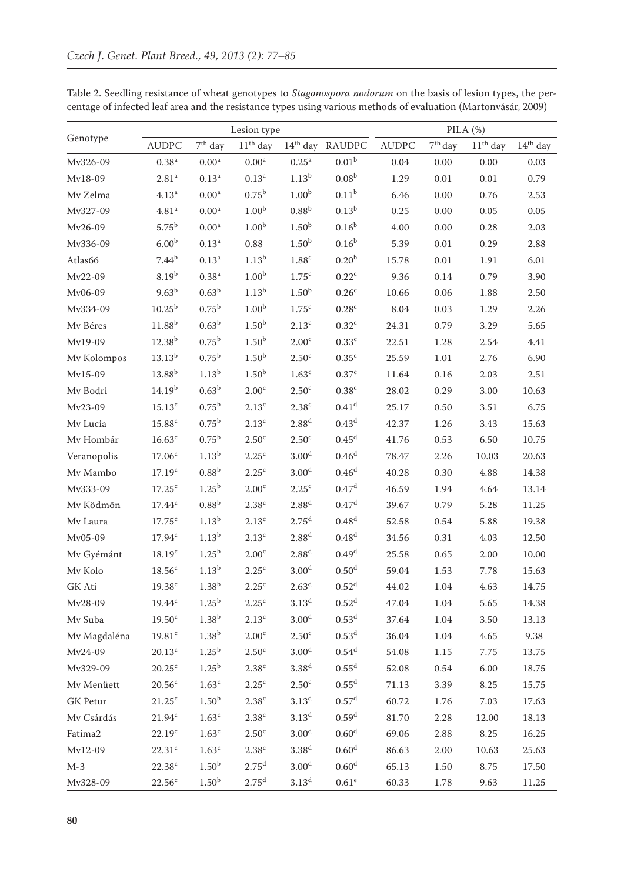|                     |                    |                   | Lesion type       |                     |                             | PILA $(\%)$  |           |            |            |
|---------------------|--------------------|-------------------|-------------------|---------------------|-----------------------------|--------------|-----------|------------|------------|
| Genotype            | <b>AUDPC</b>       | $7th$ day         | $11th$ day        |                     | 14 <sup>th</sup> day RAUDPC | <b>AUDPC</b> | $7th$ day | $11th$ day | $14th$ day |
| Mv326-09            | $0.38^{a}$         | 0.00 <sup>a</sup> | $0.00^{\rm a}$    | 0.25 <sup>a</sup>   | 0.01 <sup>b</sup>           | 0.04         | 0.00      | 0.00       | 0.03       |
| Mv18-09             | 2.81 <sup>a</sup>  | $0.13^a$          | 0.13 <sup>a</sup> | $1.13^{b}$          | 0.08 <sup>b</sup>           | 1.29         | $0.01\,$  | $0.01\,$   | 0.79       |
| Mv Zelma            | 4.13 <sup>a</sup>  | $0.00^{\rm a}$    | $0.75^{\rm b}$    | 1.00 <sup>b</sup>   | 0.11 <sup>b</sup>           | 6.46         | 0.00      | 0.76       | 2.53       |
| Mv327-09            | $4.81^{\rm a}$     | 0.00 <sup>a</sup> | 1.00 <sup>b</sup> | $0.88^{b}$          | $0.13^{b}$                  | 0.25         | 0.00      | 0.05       | 0.05       |
| Mv26-09             | $5.75^{b}$         | 0.00 <sup>a</sup> | 1.00 <sup>b</sup> | 1.50 <sup>b</sup>   | 0.16 <sup>b</sup>           | 4.00         | 0.00      | 0.28       | 2.03       |
| Mv336-09            | 6.00 <sup>b</sup>  | 0.13 <sup>a</sup> | 0.88              | 1.50 <sup>b</sup>   | $0.16^{b}$                  | 5.39         | $0.01\,$  | 0.29       | 2.88       |
| Atlas66             | $7.44^{b}$         | $0.13^a$          | 1.13 <sup>b</sup> | $1.88^{\rm c}$      | 0.20 <sup>b</sup>           | 15.78        | 0.01      | 1.91       | 6.01       |
| Mv22-09             | $8.19^{b}$         | 0.38 <sup>a</sup> | 1.00 <sup>b</sup> | 1.75 <sup>c</sup>   | $0.22^c$                    | 9.36         | 0.14      | 0.79       | 3.90       |
| Mv06-09             | 9.63 <sup>b</sup>  | 0.63 <sup>b</sup> | $1.13^{b}$        | 1.50 <sup>b</sup>   | 0.26 <sup>c</sup>           | 10.66        | 0.06      | 1.88       | 2.50       |
| Mv334-09            | $10.25^{b}$        | $0.75^{\rm b}$    | 1.00 <sup>b</sup> | 1.75 <sup>c</sup>   | $0.28^{\circ}$              | 8.04         | 0.03      | 1.29       | 2.26       |
| Mv Béres            | 11.88 <sup>b</sup> | $0.63^{\rm b}$    | 1.50 <sup>b</sup> | $2.13^c$            | $0.32^{\circ}$              | 24.31        | 0.79      | 3.29       | 5.65       |
| Mv19-09             | $12.38^{b}$        | $0.75^{\rm b}$    | 1.50 <sup>b</sup> | 2.00 <sup>c</sup>   | $0.33^c$                    | 22.51        | 1.28      | 2.54       | 4.41       |
| Mv Kolompos         | $13.13^{b}$        | $0.75^{\rm b}$    | 1.50 <sup>b</sup> | 2.50 <sup>c</sup>   | 0.35 <sup>c</sup>           | 25.59        | 1.01      | 2.76       | 6.90       |
| Mv15-09             | 13.88 <sup>b</sup> | $1.13^{b}$        | 1.50 <sup>b</sup> | 1.63 <sup>c</sup>   | 0.37 <sup>c</sup>           | 11.64        | 0.16      | 2.03       | 2.51       |
| Mv Bodri            | 14.19 <sup>b</sup> | $0.63^{\rm b}$    | 2.00 <sup>c</sup> | 2.50 <sup>c</sup>   | $0.38^{\circ}$              | 28.02        | 0.29      | 3.00       | 10.63      |
| Mv23-09             | 15.13 <sup>c</sup> | $0.75^{\rm b}$    | 2.13 <sup>c</sup> | 2.38 <sup>c</sup>   | 0.41 <sup>d</sup>           | 25.17        | 0.50      | 3.51       | 6.75       |
| Mv Lucia            | 15.88 <sup>c</sup> | $0.75^{\rm b}$    | $2.13^c$          | $2.88^{d}$          | 0.43 <sup>d</sup>           | 42.37        | 1.26      | 3.43       | 15.63      |
| Mv Hombár           | $16.63^c$          | $0.75^{\rm b}$    | 2.50 <sup>c</sup> | 2.50 <sup>c</sup>   | 0.45 <sup>d</sup>           | 41.76        | 0.53      | 6.50       | 10.75      |
| Veranopolis         | 17.06 <sup>c</sup> | $1.13^{b}$        | 2.25 <sup>c</sup> | 3.00 <sup>d</sup>   | 0.46 <sup>d</sup>           | 78.47        | 2.26      | 10.03      | 20.63      |
| Mv Mambo            | 17.19 <sup>c</sup> | $0.88^{b}$        | $2.25^{\circ}$    | 3.00 <sup>d</sup>   | 0.46 <sup>d</sup>           | 40.28        | 0.30      | 4.88       | 14.38      |
| Mv333-09            | 17.25 <sup>c</sup> | $1.25^{b}$        | 2.00 <sup>c</sup> | 2.25 <sup>c</sup>   | 0.47 <sup>d</sup>           | 46.59        | 1.94      | 4.64       | 13.14      |
| Mv Ködmön           | 17.44c             | $0.88^{\rm b}$    | 2.38 <sup>c</sup> | $2.88$ <sup>d</sup> | 0.47 <sup>d</sup>           | 39.67        | 0.79      | 5.28       | 11.25      |
| Mv Laura            | 17.75 <sup>c</sup> | $1.13^{b}$        | 2.13 <sup>c</sup> | 2.75 <sup>d</sup>   | 0.48 <sup>d</sup>           | 52.58        | 0.54      | 5.88       | 19.38      |
| Mv05-09             | 17.94 <sup>c</sup> | $1.13^{b}$        | 2.13 <sup>c</sup> | 2.88 <sup>d</sup>   | 0.48 <sup>d</sup>           | 34.56        | 0.31      | 4.03       | 12.50      |
| Mv Gyémánt          | 18.19 <sup>c</sup> | $1.25^{\rm b}$    | 2.00 <sup>c</sup> | 2.88 <sup>d</sup>   | 0.49 <sup>d</sup>           | 25.58        | 0.65      | 2.00       | 10.00      |
| Mv Kolo             | 18.56 <sup>c</sup> | $1.13^{b}$        | 2.25 <sup>c</sup> | 3.00 <sup>d</sup>   | 0.50 <sup>d</sup>           | 59.04        | 1.53      | 7.78       | 15.63      |
| GK Ati              | 19.38 <sup>c</sup> | $1.38^{b}$        | $2.25^{\circ}$    | 2.63 <sup>d</sup>   | $0.52^d$                    | 44.02        | 1.04      | 4.63       | 14.75      |
| Mv28-09             | $19.44^c$          | $1.25^{\rm b}$    | 2.25 <sup>c</sup> | 3.13 <sup>d</sup>   | 0.52 <sup>d</sup>           | 47.04        | 1.04      | 5.65       | 14.38      |
| Mv Suba             | 19.50 <sup>c</sup> | 1.38 <sup>b</sup> | 2.13 <sup>c</sup> | 3.00 <sup>d</sup>   | 0.53 <sup>d</sup>           | 37.64        | 1.04      | 3.50       | 13.13      |
| Mv Magdaléna        | 19.81 <sup>c</sup> | 1.38 <sup>b</sup> | 2.00 <sup>c</sup> | 2.50 <sup>c</sup>   | 0.53 <sup>d</sup>           | 36.04        | 1.04      | 4.65       | 9.38       |
| Mv24-09             | 20.13 <sup>c</sup> | $1.25^{b}$        | 2.50 <sup>c</sup> | 3.00 <sup>d</sup>   | 0.54 <sup>d</sup>           | 54.08        | 1.15      | 7.75       | 13.75      |
| Mv329-09            | $20.25^{\circ}$    | $1.25^{\rm b}$    | 2.38 <sup>c</sup> | 3.38 <sup>d</sup>   | 0.55 <sup>d</sup>           | 52.08        | 0.54      | 6.00       | 18.75      |
| Mv Menüett          | 20.56 <sup>c</sup> | $1.63^c$          | $2.25^{\rm c}$    | 2.50 <sup>c</sup>   | 0.55 <sup>d</sup>           | 71.13        | 3.39      | $8.25\,$   | 15.75      |
| <b>GK</b> Petur     | $21.25^c$          | 1.50 <sup>b</sup> | 2.38 <sup>c</sup> | 3.13 <sup>d</sup>   | 0.57 <sup>d</sup>           | 60.72        | 1.76      | 7.03       | 17.63      |
| Mv Csárdás          | $21.94^c$          | $1.63^c$          | 2.38 <sup>c</sup> | 3.13 <sup>d</sup>   | 0.59 <sup>d</sup>           | 81.70        | 2.28      | 12.00      | 18.13      |
| Fatima <sub>2</sub> | 22.19c             | 1.63 <sup>c</sup> | 2.50 <sup>c</sup> | 3.00 <sup>d</sup>   | 0.60 <sup>d</sup>           | 69.06        | 2.88      | 8.25       | 16.25      |
| Mv12-09             | 22.31 <sup>c</sup> | 1.63 <sup>c</sup> | 2.38 <sup>c</sup> | 3.38 <sup>d</sup>   | 0.60 <sup>d</sup>           | 86.63        | 2.00      | 10.63      | 25.63      |
| $M-3$               | 22.38 <sup>c</sup> | 1.50 <sup>b</sup> | 2.75 <sup>d</sup> | 3.00 <sup>d</sup>   | 0.60 <sup>d</sup>           | 65.13        | 1.50      | 8.75       | 17.50      |
| Mv328-09            | 22.56 <sup>c</sup> | 1.50 <sup>b</sup> | 2.75 <sup>d</sup> | 3.13 <sup>d</sup>   | $0.61^e$                    | 60.33        | 1.78      | 9.63       | 11.25      |

Table 2. Seedling resistance of wheat genotypes to *Stagonospora nodorum* on the basis of lesion types, the percentage of infected leaf area and the resistance types using various methods of evaluation (Martonvásár, 2009)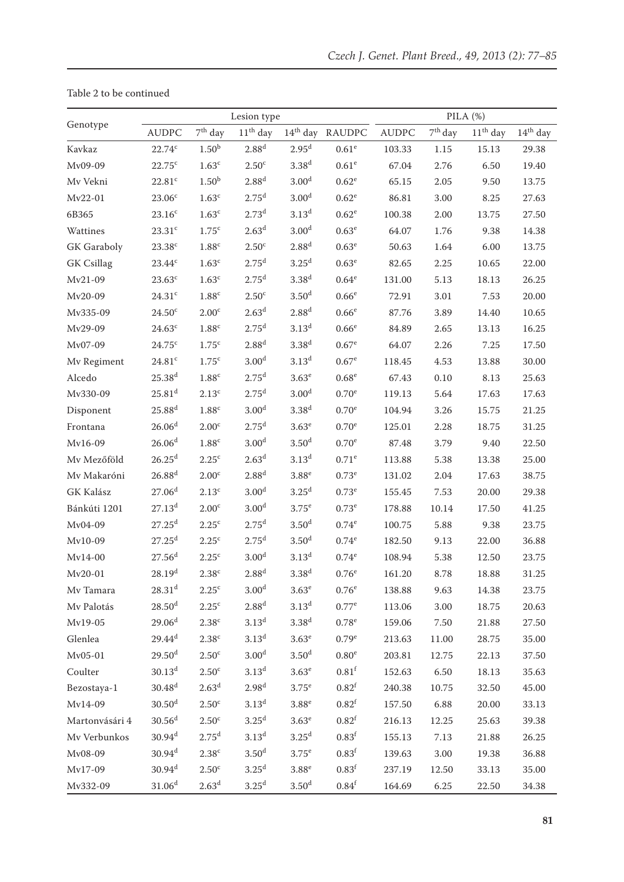|                    |                      |                   | Lesion type       |                   |                          |              | PILA (%)  |            |            |  |
|--------------------|----------------------|-------------------|-------------------|-------------------|--------------------------|--------------|-----------|------------|------------|--|
| Genotype           | <b>AUDPC</b>         | $7th$ day         | $11th$ day        |                   | $14^{\rm th}$ day RAUDPC | <b>AUDPC</b> | $7th$ day | $11th$ day | $14th$ day |  |
| Kavkaz             | $22.74^c$            | 1.50 <sup>b</sup> | 2.88 <sup>d</sup> | 2.95 <sup>d</sup> | 0.61 <sup>e</sup>        | 103.33       | 1.15      | 15.13      | 29.38      |  |
| Mv09-09            | $22.75^{\circ}$      | $1.63^c$          | 2.50 <sup>c</sup> | 3.38 <sup>d</sup> | $0.61^e$                 | 67.04        | 2.76      | 6.50       | 19.40      |  |
| Mv Vekni           | 22.81 <sup>c</sup>   | 1.50 <sup>b</sup> | 2.88 <sup>d</sup> | 3.00 <sup>d</sup> | $0.62^e$                 | 65.15        | 2.05      | 9.50       | 13.75      |  |
| Mv22-01            | 23.06 <sup>c</sup>   | $1.63^c$          | 2.75 <sup>d</sup> | 3.00 <sup>d</sup> | $0.62^e$                 | 86.81        | 3.00      | 8.25       | 27.63      |  |
| 6B365              | 23.16 <sup>c</sup>   | $1.63^c$          | 2.73 <sup>d</sup> | 3.13 <sup>d</sup> | $0.62^e$                 | 100.38       | 2.00      | 13.75      | 27.50      |  |
| Wattines           | 23.31 <sup>c</sup>   | 1.75 <sup>c</sup> | 2.63 <sup>d</sup> | 3.00 <sup>d</sup> | $0.63^e$                 | 64.07        | 1.76      | 9.38       | 14.38      |  |
| <b>GK</b> Garaboly | 23.38 <sup>c</sup>   | $1.88^{\rm c}$    | 2.50 <sup>c</sup> | 2.88 <sup>d</sup> | 0.63 <sup>e</sup>        | 50.63        | 1.64      | 6.00       | 13.75      |  |
| <b>GK</b> Csillag  | 23.44c               | 1.63 <sup>c</sup> | 2.75 <sup>d</sup> | 3.25 <sup>d</sup> | $0.63^e$                 | 82.65        | 2.25      | 10.65      | 22.00      |  |
| Mv21-09            | $23.63^c$            | 1.63 <sup>c</sup> | 2.75 <sup>d</sup> | 3.38 <sup>d</sup> | $0.64^e$                 | 131.00       | 5.13      | 18.13      | 26.25      |  |
| Mv20-09            | 24.31 <sup>c</sup>   | $1.88^c$          | 2.50 <sup>c</sup> | 3.50 <sup>d</sup> | 0.66 <sup>e</sup>        | 72.91        | 3.01      | 7.53       | 20.00      |  |
| Mv335-09           | 24.50 <sup>c</sup>   | 2.00 <sup>c</sup> | 2.63 <sup>d</sup> | $2.88^{d}$        | 0.66 <sup>e</sup>        | 87.76        | 3.89      | 14.40      | 10.65      |  |
| Mv29-09            | 24.63 <sup>c</sup>   | $1.88^{\rm c}$    | 2.75 <sup>d</sup> | 3.13 <sup>d</sup> | 0.66 <sup>e</sup>        | 84.89        | 2.65      | 13.13      | 16.25      |  |
| Mv07-09            | 24.75c               | 1.75 <sup>c</sup> | 2.88 <sup>d</sup> | 3.38 <sup>d</sup> | 0.67 <sup>e</sup>        | 64.07        | 2.26      | 7.25       | 17.50      |  |
| Mv Regiment        | $24.81$ <sup>c</sup> | 1.75 <sup>c</sup> | 3.00 <sup>d</sup> | 3.13 <sup>d</sup> | $0.67^e$                 | 118.45       | 4.53      | 13.88      | 30.00      |  |
| Alcedo             | $25.38^{d}$          | $1.88^c$          | 2.75 <sup>d</sup> | $3.63^e$          | $0.68^e$                 | 67.43        | 0.10      | 8.13       | 25.63      |  |
| Mv330-09           | $25.81$ <sup>d</sup> | 2.13 <sup>c</sup> | 2.75 <sup>d</sup> | 3.00 <sup>d</sup> | $0.70^e$                 | 119.13       | 5.64      | 17.63      | 17.63      |  |
| Disponent          | $25.88$ <sup>d</sup> | $1.88^{\rm c}$    | 3.00 <sup>d</sup> | 3.38 <sup>d</sup> | $0.70^e$                 | 104.94       | 3.26      | 15.75      | 21.25      |  |
| Frontana           | 26.06 <sup>d</sup>   | 2.00 <sup>c</sup> | 2.75 <sup>d</sup> | $3.63^e$          | $0.70^e$                 | 125.01       | 2.28      | 18.75      | 31.25      |  |
| Mv16-09            | 26.06 <sup>d</sup>   | 1.88 <sup>c</sup> | 3.00 <sup>d</sup> | 3.50 <sup>d</sup> | $0.70^e$                 | 87.48        | 3.79      | 9.40       | 22.50      |  |
| Mv Mezőföld        | $26.25^{\rm d}$      | $2.25^{\circ}$    | 2.63 <sup>d</sup> | 3.13 <sup>d</sup> | $0.71^e$                 | 113.88       | 5.38      | 13.38      | 25.00      |  |
| Mv Makaróni        | $26.88^{d}$          | 2.00 <sup>c</sup> | 2.88 <sup>d</sup> | $3.88^e$          | $0.73^e$                 | 131.02       | 2.04      | 17.63      | 38.75      |  |
| <b>GK</b> Kalász   | 27.06 <sup>d</sup>   | 2.13 <sup>c</sup> | 3.00 <sup>d</sup> | 3.25 <sup>d</sup> | $0.73^e$                 | 155.45       | 7.53      | 20.00      | 29.38      |  |
| Bánkúti 1201       | 27.13 <sup>d</sup>   | 2.00 <sup>c</sup> | 3.00 <sup>d</sup> | $3.75^e$          | $0.73^e$                 | 178.88       | 10.14     | 17.50      | 41.25      |  |
| Mv04-09            | $27.25^d$            | $2.25^{\circ}$    | 2.75 <sup>d</sup> | 3.50 <sup>d</sup> | $0.74^e$                 | 100.75       | 5.88      | 9.38       | 23.75      |  |
| Mv10-09            | 27.25 <sup>d</sup>   | 2.25 <sup>c</sup> | 2.75 <sup>d</sup> | 3.50 <sup>d</sup> | $0.74^e$                 | 182.50       | 9.13      | 22.00      | 36.88      |  |
| $Mv14-00$          | 27.56 <sup>d</sup>   | $2.25^{\circ}$    | 3.00 <sup>d</sup> | 3.13 <sup>d</sup> | $0.74^e$                 | 108.94       | 5.38      | 12.50      | 23.75      |  |
| $Mv20-01$          | 28.19 <sup>d</sup>   | 2.38 <sup>c</sup> | 2.88 <sup>d</sup> | 3.38 <sup>d</sup> | 0.76 <sup>e</sup>        | 161.20       | 8.78      | 18.88      | 31.25      |  |
| Mv Tamara          | $28.31$ <sup>d</sup> | 2.25 <sup>c</sup> | 3.00 <sup>d</sup> | $3.63^e$          | $0.76^e$                 | 138.88       | 9.63      | 14.38      | 23.75      |  |
| Mv Palotás         | $28.50$ <sup>d</sup> | $2.25^{\circ}$    | 2.88 <sup>d</sup> | 3.13 <sup>d</sup> | $0.77$ <sup>e</sup>      | 113.06       | 3.00      | 18.75      | 20.63      |  |
| Mv19-05            | 29.06 <sup>d</sup>   | 2.38 <sup>c</sup> | 3.13 <sup>d</sup> | 3.38 <sup>d</sup> | $0.78^e$                 | 159.06       | 7.50      | 21.88      | 27.50      |  |
| Glenlea            | $29.44^{d}$          | 2.38 <sup>c</sup> | 3.13 <sup>d</sup> | 3.63 <sup>e</sup> | 0.79 <sup>e</sup>        | 213.63       | 11.00     | 28.75      | 35.00      |  |
| Mv05-01            | $29.50$ <sup>d</sup> | 2.50 <sup>c</sup> | 3.00 <sup>d</sup> | 3.50 <sup>d</sup> | $0.80^\mathrm{e}$        | 203.81       | 12.75     | 22.13      | 37.50      |  |
| Coulter            | $30.13^{d}$          | 2.50 <sup>c</sup> | 3.13 <sup>d</sup> | $3.63^e$          | 0.81 <sup>f</sup>        | 152.63       | 6.50      | 18.13      | 35.63      |  |
| Bezostaya-1        | $30.48^{d}$          | 2.63 <sup>d</sup> | 2.98 <sup>d</sup> | $3.75^e$          | $0.82^{\rm f}$           | 240.38       | 10.75     | 32.50      | 45.00      |  |
| Mv14-09            | 30.50 <sup>d</sup>   | 2.50 <sup>c</sup> | 3.13 <sup>d</sup> | $3.88^e$          | 0.82 <sup>f</sup>        | 157.50       | 6.88      | 20.00      | 33.13      |  |
| Martonvásári 4     | $30.56$ <sup>d</sup> | 2.50 <sup>c</sup> | 3.25 <sup>d</sup> | 3.63 <sup>e</sup> | $0.82^{\rm f}$           | 216.13       | 12.25     | 25.63      | 39.38      |  |
| Mv Verbunkos       | $30.94$ <sup>d</sup> | 2.75 <sup>d</sup> | 3.13 <sup>d</sup> | 3.25 <sup>d</sup> | 0.83 <sup>f</sup>        | 155.13       | 7.13      | 21.88      | 26.25      |  |
| Mv08-09            | 30.94 <sup>d</sup>   | 2.38 <sup>c</sup> | 3.50 <sup>d</sup> | $3.75^e$          | 0.83 <sup>f</sup>        | 139.63       | $3.00\,$  | 19.38      | 36.88      |  |
| Mv17-09            | 30.94 <sup>d</sup>   | 2.50 <sup>c</sup> | 3.25 <sup>d</sup> | $3.88^e$          | 0.83 <sup>f</sup>        | 237.19       | 12.50     | 33.13      | 35.00      |  |
| Mv332-09           | 31.06 <sup>d</sup>   | 2.63 <sup>d</sup> | $3.25^{\rm d}$    | 3.50 <sup>d</sup> | 0.84 <sup>f</sup>        | 164.69       | 6.25      | 22.50      | 34.38      |  |

Table 2 to be continued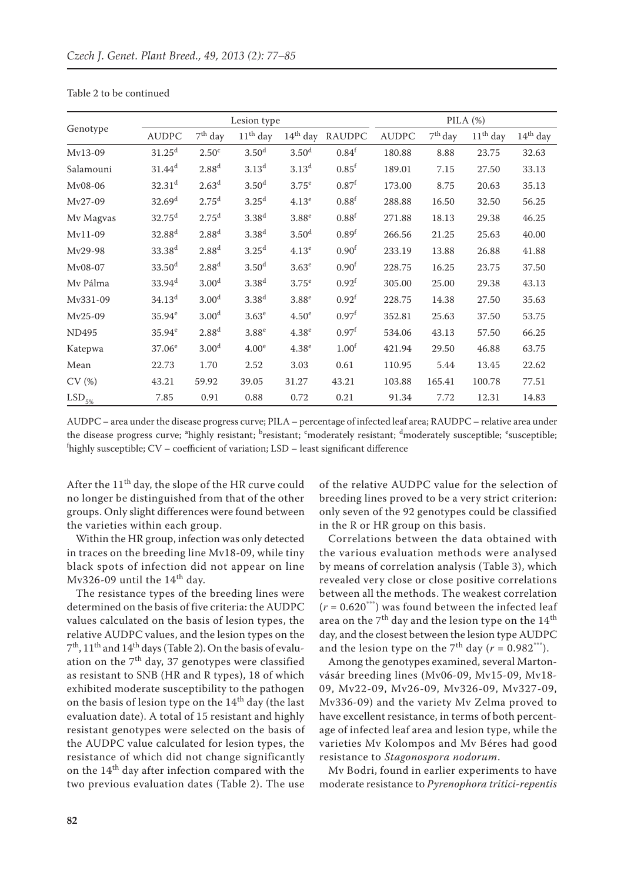|                      |                    |                   | Lesion type       |                   |                   | PILA $(%)$   |           |            |            |
|----------------------|--------------------|-------------------|-------------------|-------------------|-------------------|--------------|-----------|------------|------------|
| Genotype             | <b>AUDPC</b>       | $7th$ day         | $11th$ day        | $14th$ day        | RAUDPC            | <b>AUDPC</b> | $7th$ day | $11th$ day | $14th$ day |
| Mv13-09              | $31.25^d$          | 2.50 <sup>c</sup> | 3.50 <sup>d</sup> | 3.50 <sup>d</sup> | 0.84 <sup>f</sup> | 180.88       | 8.88      | 23.75      | 32.63      |
| Salamouni            | $31.44^{d}$        | $2.88^{d}$        | 3.13 <sup>d</sup> | 3.13 <sup>d</sup> | 0.85 <sup>f</sup> | 189.01       | 7.15      | 27.50      | 33.13      |
| Mv08-06              | 32.31 <sup>d</sup> | 2.63 <sup>d</sup> | 3.50 <sup>d</sup> | $3.75^e$          | 0.87 <sup>f</sup> | 173.00       | 8.75      | 20.63      | 35.13      |
| Mv27-09              | 32.69 <sup>d</sup> | 2.75 <sup>d</sup> | 3.25 <sup>d</sup> | 4.13 <sup>e</sup> | 0.88 <sup>f</sup> | 288.88       | 16.50     | 32.50      | 56.25      |
| Mv Magvas            | $32.75^d$          | 2.75 <sup>d</sup> | 3.38 <sup>d</sup> | 3.88 <sup>e</sup> | 0.88 <sup>f</sup> | 271.88       | 18.13     | 29.38      | 46.25      |
| Mv11-09              | 32.88 <sup>d</sup> | 2.88 <sup>d</sup> | 3.38 <sup>d</sup> | 3.50 <sup>d</sup> | 0.89 <sup>f</sup> | 266.56       | 21.25     | 25.63      | 40.00      |
| Mv29-98              | 33.38 <sup>d</sup> | 2.88 <sup>d</sup> | 3.25 <sup>d</sup> | 4.13 <sup>e</sup> | 0.90 <sup>f</sup> | 233.19       | 13.88     | 26.88      | 41.88      |
| Mv08-07              | 33.50 <sup>d</sup> | 2.88 <sup>d</sup> | 3.50 <sup>d</sup> | 3.63 <sup>e</sup> | 0.90 <sup>f</sup> | 228.75       | 16.25     | 23.75      | 37.50      |
| Mv Pálma             | 33.94 <sup>d</sup> | 3.00 <sup>d</sup> | 3.38 <sup>d</sup> | 3.75 <sup>e</sup> | 0.92 <sup>f</sup> | 305.00       | 25.00     | 29.38      | 43.13      |
| Mv331-09             | 34.13 <sup>d</sup> | 3.00 <sup>d</sup> | 3.38 <sup>d</sup> | $3.88^e$          | 0.92 <sup>f</sup> | 228.75       | 14.38     | 27.50      | 35.63      |
| Mv25-09              | $35.94^e$          | 3.00 <sup>d</sup> | 3.63 <sup>e</sup> | 4.50 <sup>e</sup> | 0.97 <sup>f</sup> | 352.81       | 25.63     | 37.50      | 53.75      |
| <b>ND495</b>         | $35.94^e$          | 2.88 <sup>d</sup> | 3.88 <sup>e</sup> | 4.38 <sup>e</sup> | 0.97 <sup>f</sup> | 534.06       | 43.13     | 57.50      | 66.25      |
| Katepwa              | $37.06^e$          | 3.00 <sup>d</sup> | 4.00 <sup>e</sup> | 4.38 <sup>e</sup> | 1.00 <sup>f</sup> | 421.94       | 29.50     | 46.88      | 63.75      |
| Mean                 | 22.73              | 1.70              | 2.52              | 3.03              | 0.61              | 110.95       | 5.44      | 13.45      | 22.62      |
| CV(%)                | 43.21              | 59.92             | 39.05             | 31.27             | 43.21             | 103.88       | 165.41    | 100.78     | 77.51      |
| $\mathrm{LSD}_{5\%}$ | 7.85               | 0.91              | 0.88              | 0.72              | 0.21              | 91.34        | 7.72      | 12.31      | 14.83      |

Table 2 to be continued

AUDPC – area under the disease progress curve; PILA – percentage of infected leaf area; RAUDPC – relative area under the disease progress curve; <sup>a</sup>highly resistant; <sup>b</sup>resistant; <sup>c</sup>moderately resistant; <sup>d</sup>moderately susceptible; <sup>e</sup>susceptible; f highly susceptible; CV – coefficient of variation; LSD – least significant difference

After the 11<sup>th</sup> day, the slope of the HR curve could no longer be distinguished from that of the other groups. Only slight differences were found between the varieties within each group.

Within the HR group, infection was only detected in traces on the breeding line Mv18-09, while tiny black spots of infection did not appear on line Mv326-09 until the  $14<sup>th</sup>$  day.

The resistance types of the breeding lines were determined on the basis of five criteria: the AUDPC values calculated on the basis of lesion types, the relative AUDPC values, and the lesion types on the 7<sup>th</sup>, 11<sup>th</sup> and 14<sup>th</sup> days (Table 2). On the basis of evaluation on the  $7<sup>th</sup>$  day, 37 genotypes were classified as resistant to SNB (HR and R types), 18 of which exhibited moderate susceptibility to the pathogen on the basis of lesion type on the  $14<sup>th</sup>$  day (the last evaluation date). A total of 15 resistant and highly resistant genotypes were selected on the basis of the AUDPC value calculated for lesion types, the resistance of which did not change significantly on the 14<sup>th</sup> day after infection compared with the two previous evaluation dates (Table 2). The use

of the relative AUDPC value for the selection of breeding lines proved to be a very strict criterion: only seven of the 92 genotypes could be classified in the R or HR group on this basis.

Correlations between the data obtained with the various evaluation methods were analysed by means of correlation analysis (Table 3), which revealed very close or close positive correlations between all the methods. The weakest correlation  $(r = 0.620***)$  was found between the infected leaf area on the  $7<sup>th</sup>$  day and the lesion type on the  $14<sup>th</sup>$ day, and the closest between the lesion type AUDPC and the lesion type on the 7<sup>th</sup> day ( $r = 0.982***$ ).

Among the genotypes examined, several Martonvásár breeding lines (Mv06-09, Mv15-09, Mv18- 09, Mv22-09, Mv26-09, Mv326-09, Mv327-09, Mv336-09) and the variety Mv Zelma proved to have excellent resistance, in terms of both percentage of infected leaf area and lesion type, while the varieties Mv Kolompos and Mv Béres had good resistance to *Stagonospora nodorum*.

Mv Bodri, found in earlier experiments to have moderate resistance to *Pyrenophora tritici-repentis*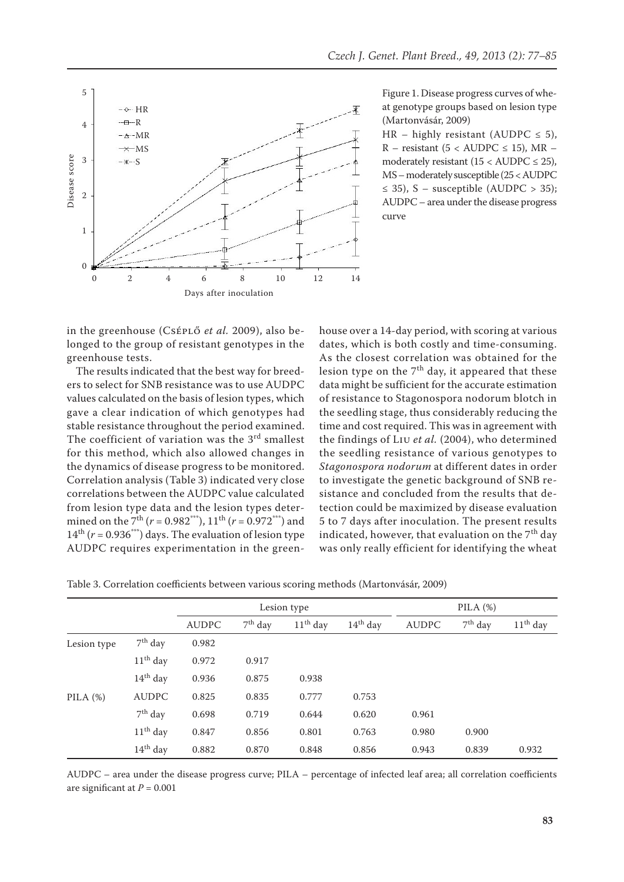

Figure 1. Disease progress curves of wheat genotype groups based on lesion type (Martonvásár, 2009)

HR – highly resistant (AUDPC  $\leq$  5), R – resistant (5 < AUDPC  $\leq$  15), MR – moderately resistant  $(15 < \text{AUDPC} \leq 25)$ , MS – moderately susceptible (25 < AUDPC  $\leq$  35), S – susceptible (AUDPC > 35); AUDPC – area under the disease progress curve

in the greenhouse (Cséplő *et al.* 2009), also belonged to the group of resistant genotypes in the greenhouse tests.

The results indicated that the best way for breeders to select for SNB resistance was to use AUDPC values calculated on the basis of lesion types, which gave a clear indication of which genotypes had stable resistance throughout the period examined. The coefficient of variation was the  $3<sup>rd</sup>$  smallest for this method, which also allowed changes in the dynamics of disease progress to be monitored. Correlation analysis (Table 3) indicated very close correlations between the AUDPC value calculated from lesion type data and the lesion types determined on the 7<sup>th</sup> ( $r = 0.982^{***}$ ), 11<sup>th</sup> ( $r = 0.972^{***}$ ) and  $14<sup>th</sup>$  ( $r = 0.936<sup>***</sup>$ ) days. The evaluation of lesion type AUDPC requires experimentation in the greenhouse over a 14-day period, with scoring at various dates, which is both costly and time-consuming. As the closest correlation was obtained for the lesion type on the  $7<sup>th</sup>$  day, it appeared that these data might be sufficient for the accurate estimation of resistance to Stagonospora nodorum blotch in the seedling stage, thus considerably reducing the time and cost required. This was in agreement with the findings of Liu *et al.* (2004), who determined the seedling resistance of various genotypes to *Stagonospora nodorum* at different dates in order to investigate the genetic background of SNB resistance and concluded from the results that detection could be maximized by disease evaluation 5 to 7 days after inoculation. The present results indicated, however, that evaluation on the  $7<sup>th</sup>$  day was only really efficient for identifying the wheat

| Table 3. Correlation coefficients between various scoring methods (Martonvásár, 2009) |  |  |  |  |
|---------------------------------------------------------------------------------------|--|--|--|--|
|                                                                                       |  |  |  |  |

|             |              | Lesion type  |           |            |            |              | PILA $(%)$ |            |
|-------------|--------------|--------------|-----------|------------|------------|--------------|------------|------------|
|             |              | <b>AUDPC</b> | $7th$ day | $11th$ day | $14th$ day | <b>AUDPC</b> | $7th$ day  | $11th$ day |
| Lesion type | $7th$ day    | 0.982        |           |            |            |              |            |            |
|             | $11th$ day   | 0.972        | 0.917     |            |            |              |            |            |
|             | $14th$ day   | 0.936        | 0.875     | 0.938      |            |              |            |            |
| PILA $(%)$  | <b>AUDPC</b> | 0.825        | 0.835     | 0.777      | 0.753      |              |            |            |
|             | $7th$ day    | 0.698        | 0.719     | 0.644      | 0.620      | 0.961        |            |            |
|             | $11th$ day   | 0.847        | 0.856     | 0.801      | 0.763      | 0.980        | 0.900      |            |
|             | $14th$ day   | 0.882        | 0.870     | 0.848      | 0.856      | 0.943        | 0.839      | 0.932      |

AUDPC – area under the disease progress curve; PILA – percentage of infected leaf area; all correlation coefficients are significant at  $P = 0.001$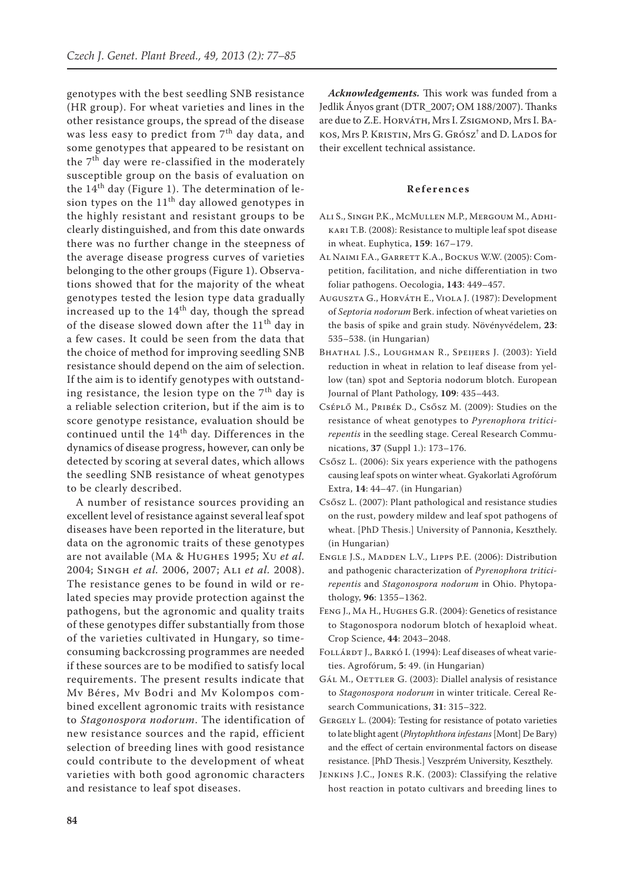genotypes with the best seedling SNB resistance (HR group). For wheat varieties and lines in the other resistance groups, the spread of the disease was less easy to predict from 7<sup>th</sup> day data, and some genotypes that appeared to be resistant on the  $7<sup>th</sup>$  day were re-classified in the moderately susceptible group on the basis of evaluation on the  $14<sup>th</sup>$  day (Figure 1). The determination of lesion types on the  $11<sup>th</sup>$  day allowed genotypes in the highly resistant and resistant groups to be clearly distinguished, and from this date onwards there was no further change in the steepness of the average disease progress curves of varieties belonging to the other groups (Figure 1). Observations showed that for the majority of the wheat genotypes tested the lesion type data gradually increased up to the  $14<sup>th</sup>$  day, though the spread of the disease slowed down after the  $11<sup>th</sup>$  day in a few cases. It could be seen from the data that the choice of method for improving seedling SNB resistance should depend on the aim of selection. If the aim is to identify genotypes with outstanding resistance, the lesion type on the  $7<sup>th</sup>$  day is a reliable selection criterion, but if the aim is to score genotype resistance, evaluation should be continued until the 14<sup>th</sup> day. Differences in the dynamics of disease progress, however, can only be detected by scoring at several dates, which allows the seedling SNB resistance of wheat genotypes to be clearly described.

A number of resistance sources providing an excellent level of resistance against several leaf spot diseases have been reported in the literature, but data on the agronomic traits of these genotypes are not available (Ma & Hughes 1995; Xu *et al.* 2004; Singh *et al.* 2006, 2007; Ali *et al.* 2008). The resistance genes to be found in wild or related species may provide protection against the pathogens, but the agronomic and quality traits of these genotypes differ substantially from those of the varieties cultivated in Hungary, so timeconsuming backcrossing programmes are needed if these sources are to be modified to satisfy local requirements. The present results indicate that Mv Béres, Mv Bodri and Mv Kolompos combined excellent agronomic traits with resistance to *Stagonospora nodorum*. The identification of new resistance sources and the rapid, efficient selection of breeding lines with good resistance could contribute to the development of wheat varieties with both good agronomic characters and resistance to leaf spot diseases.

*Acknowledgements.* This work was funded from a Jedlik Ányos grant (DTR\_2007; OM 188/2007). Thanks are due to Z.E. HORVÁTH, Mrs I. ZSIGMOND, Mrs I. BAkos, Mrs P. Kristin, Mrs G. Grósz† and D. Lados for their excellent technical assistance.

## **References**

- Ali S., Singh P.K., McMullen M.P., Mergoum M., Adhikari T.B. (2008): Resistance to multiple leaf spot disease in wheat. Euphytica, **159**: 167–179.
- Al Naimi F.A., Garrett K.A., Bockus W.W. (2005): Competition, facilitation, and niche differentiation in two foliar pathogens. Oecologia, **143**: 449–457.
- Auguszta G., Horváth E., Viola J. (1987): Development of *Septoria nodorum* Berk. infection of wheat varieties on the basis of spike and grain study. Növényvédelem, **23**: 535–538. (in Hungarian)
- Bhathal J.S., Loughman R., Speijers J. (2003): Yield reduction in wheat in relation to leaf disease from yellow (tan) spot and Septoria nodorum blotch. European Journal of Plant Pathology, **109**: 435–443.
- Cséplő M., Pribék D., Csősz M. (2009): Studies on the resistance of wheat genotypes to *Pyrenophora triticirepentis* in the seedling stage. Cereal Research Communications, **37** (Suppl 1.): 173–176.
- Csősz L. (2006): Six years experience with the pathogens causing leaf spots on winter wheat. Gyakorlati Agrofórum Extra, **14**: 44–47. (in Hungarian)
- Csősz L. (2007): Plant pathological and resistance studies on the rust, powdery mildew and leaf spot pathogens of wheat. [PhD Thesis.] University of Pannonia, Keszthely. (in Hungarian)
- Engle J.S., Madden L.V., Lipps P.E. (2006): Distribution and pathogenic characterization of *Pyrenophora triticirepentis* and *Stagonospora nodorum* in Ohio. Phytopathology, **96**: 1355–1362.
- Feng J., Ma H., Hughes G.R. (2004): Genetics of resistance to Stagonospora nodorum blotch of hexaploid wheat. Crop Science, **44**: 2043–2048.
- FOLLÁRDT J., BARKÓ I. (1994): Leaf diseases of wheat varieties. Agrofórum, **5**: 49. (in Hungarian)
- GÁL M., OETTLER G. (2003): Diallel analysis of resistance to *Stagonospora nodorum* in winter triticale. Cereal Research Communications, **31**: 315–322.
- GERGELY L. (2004): Testing for resistance of potato varieties to late blight agent (*Phytophthora infestans* [Mont] De Bary) and the effect of certain environmental factors on disease resistance. [PhD Thesis.] Veszprém University, Keszthely.
- Jenkins J.C., Jones R.K. (2003): Classifying the relative host reaction in potato cultivars and breeding lines to